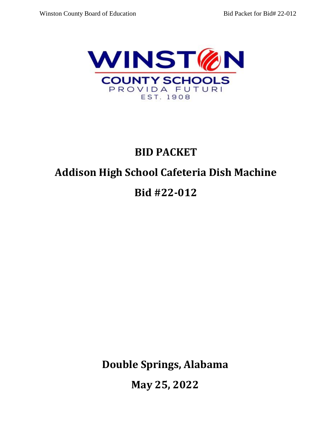

# **BID PACKET**

# **Addison High School Cafeteria Dish Machine**

# **Bid #22-012**

**Double Springs, Alabama** 

**May 25, 2022**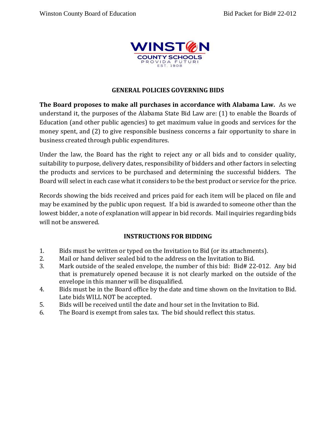

# **GENERAL POLICIES GOVERNING BIDS**

**The Board proposes to make all purchases in accordance with Alabama Law.** As we understand it, the purposes of the Alabama State Bid Law are: (1) to enable the Boards of Education (and other public agencies) to get maximum value in goods and services for the money spent, and (2) to give responsible business concerns a fair opportunity to share in business created through public expenditures.

Under the law, the Board has the right to reject any or all bids and to consider quality, suitability to purpose, delivery dates, responsibility of bidders and other factors in selecting the products and services to be purchased and determining the successful bidders. The Board will select in each case what it considers to be the best product or service for the price.

Records showing the bids received and prices paid for each item will be placed on file and may be examined by the public upon request. If a bid is awarded to someone other than the lowest bidder, a note of explanation will appear in bid records. Mail inquiries regarding bids will not be answered.

# **INSTRUCTIONS FOR BIDDING**

- 1. Bids must be written or typed on the Invitation to Bid (or its attachments).
- 2. Mail or hand deliver sealed bid to the address on the Invitation to Bid.
- 3. Mark outside of the sealed envelope, the number of this bid: Bid# 22-012. Any bid that is prematurely opened because it is not clearly marked on the outside of the envelope in this manner will be disqualified.
- 4. Bids must be in the Board office by the date and time shown on the Invitation to Bid. Late bids WILL NOT be accepted.
- 5. Bids will be received until the date and hour set in the Invitation to Bid.
- 6. The Board is exempt from sales tax. The bid should reflect this status.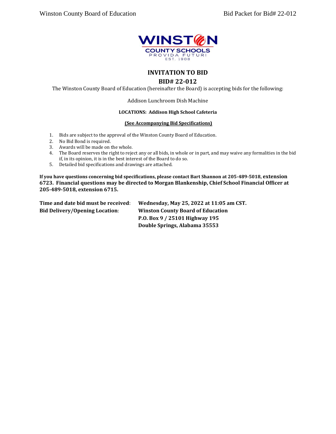

### **INVITATION TO BID**

#### **BID# 22-012**

The Winston County Board of Education (hereinafter the Board) is accepting bids for the following:

Addison Lunchroom Dish Machine

#### **LOCATIONS: Addison High School Cafeteria**

#### **(See Accompanying Bid Specifications)**

- 1. Bids are subject to the approval of the Winston County Board of Education.
- 2. No Bid Bond is required.
- 3. Awards will be made on the whole.
- 4. The Board reserves the right to reject any or all bids, in whole or in part, and may waive any formalities in the bid if, in its opinion, it is in the best interest of the Board to do so.
- 5. Detailed bid specifications and drawings are attached.

**If you have questions concerning bid specifications, please contact Bart Shannon at 205-489-5018, extension 6723. Financial questions may be directed to Morgan Blankenship, Chief School Financial Officer at 205-489-5018, extension 6715.**

**Time and date bid must be received**: **Wednesday, May 25, 2022 at 11:05 am CST. Bid Delivery/Opening Location**: **Winston County Board of Education P.O. Box 9 / 25101 Highway 195 Double Springs, Alabama 35553**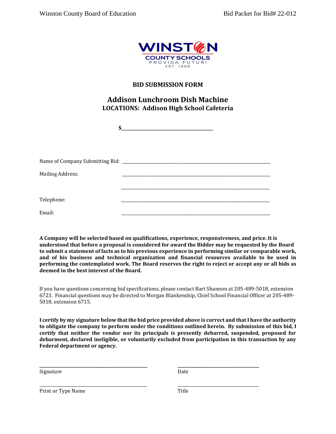

### **BID SUBMISSION FORM**

# **Addison Lunchroom Dish Machine LOCATIONS: Addison High School Cafeteria**

**\$\_\_\_\_\_\_\_\_\_\_\_\_\_\_\_\_\_\_\_\_\_\_\_\_\_\_\_\_\_\_\_\_\_\_\_\_\_\_\_\_\_\_\_\_\_**

| <b>Mailing Address:</b> |  |
|-------------------------|--|
|                         |  |
|                         |  |
| Telephone:              |  |
| Email:                  |  |

**A Company will be selected based on qualifications, experience, responsiveness, and price. It is understood that before a proposal is considered for award the Bidder may be requested by the Board to submit a statement of facts as to his previous experience in performing similar or comparable work, and of his business and technical organization and financial resources available to be used in performing the contemplated work. The Board reserves the right to reject or accept any or all bids as deemed in the best interest of the Board.**

If you have questions concerning bid specifications, please contact Bart Shannon at 205-489-5018, extension 6723. Financial questions may be directed to Morgan Blankenship, Chief School Financial Officer at 205-489- 5018, extension 6715.

**I certify by my signature below that the bid price provided above is correct and that I have the authority to obligate the company to perform under the conditions outlined herein. By submission of this bid, I certify that neither the vendor nor its principals is presently debarred, suspended, proposed for debarment, declared ineligible, or voluntarily excluded from participation in this transaction by any Federal department or agency.**

**\_\_\_\_\_\_\_\_\_\_\_\_\_\_\_\_\_\_\_\_\_\_\_\_\_\_\_\_\_\_\_\_\_\_\_\_\_\_\_\_\_\_\_\_\_\_\_\_\_\_\_\_\_ \_\_\_\_\_\_\_\_\_\_\_\_\_\_\_\_\_\_\_\_\_\_\_\_\_\_\_\_\_\_\_\_\_\_\_\_\_\_\_\_**

\_\_\_\_\_\_\_\_\_\_\_\_\_\_\_\_\_\_\_\_\_\_\_\_\_\_\_\_\_\_\_\_\_\_\_\_\_\_\_\_\_\_\_\_\_\_\_\_\_\_\_\_\_ \_\_\_\_\_\_\_\_\_\_\_\_\_\_\_\_\_\_\_\_\_\_\_\_\_\_\_\_\_\_\_\_\_\_\_\_\_\_\_\_

Signature Date

Print or Type Name Title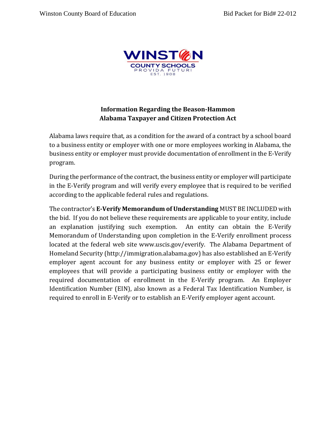

# **Information Regarding the Beason-Hammon Alabama Taxpayer and Citizen Protection Act**

Alabama laws require that, as a condition for the award of a contract by a school board to a business entity or employer with one or more employees working in Alabama, the business entity or employer must provide documentation of enrollment in the E-Verify program.

During the performance of the contract, the business entity or employer will participate in the E-Verify program and will verify every employee that is required to be verified according to the applicable federal rules and regulations.

The contractor's **E-Verify Memorandum of Understanding** MUST BE INCLUDED with the bid. If you do not believe these requirements are applicable to your entity, include an explanation justifying such exemption. An entity can obtain the E-Verify Memorandum of Understanding upon completion in the E-Verify enrollment process located at the federal web site www.uscis.gov/everify. The Alabama Department of Homeland Security (http://immigration.alabama.gov) has also established an E-Verify employer agent account for any business entity or employer with 25 or fewer employees that will provide a participating business entity or employer with the required documentation of enrollment in the E-Verify program. An Employer Identification Number (EIN), also known as a Federal Tax Identification Number, is required to enroll in E-Verify or to establish an E-Verify employer agent account.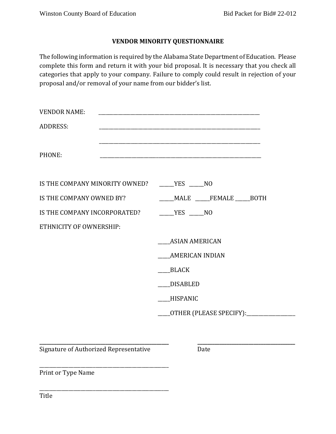# **VENDOR MINORITY QUESTIONNAIRE**

The following information is required by the Alabama State Department of Education. Please complete this form and return it with your bid proposal. It is necessary that you check all categories that apply to your company. Failure to comply could result in rejection of your proposal and/or removal of your name from our bidder's list.

| <b>VENDOR NAME:</b>                                |                                           |
|----------------------------------------------------|-------------------------------------------|
| <b>ADDRESS:</b>                                    |                                           |
| PHONE:                                             |                                           |
| IS THE COMPANY MINORITY OWNED? ______ YES _____ NO |                                           |
| IS THE COMPANY OWNED BY?                           | _____MALE ______FEMALE _____BOTH          |
| IS THE COMPANY INCORPORATED?                       | $YES$ NO                                  |
| ETHNICITY OF OWNERSHIP:                            |                                           |
|                                                    | <b>ASIAN AMERICAN</b>                     |
|                                                    | AMERICAN INDIAN                           |
|                                                    | BLACK                                     |
|                                                    | <b>DISABLED</b>                           |
|                                                    | HISPANIC                                  |
|                                                    | ___OTHER (PLEASE SPECIFY):_______________ |

**\_\_\_\_\_\_\_\_\_\_\_\_\_\_\_\_\_\_\_\_\_\_\_\_\_\_\_\_\_\_\_\_\_\_\_\_\_\_\_\_\_\_\_\_\_\_\_\_\_\_\_\_\_ \_\_\_\_\_\_\_\_\_\_\_\_\_\_\_\_\_\_\_\_\_\_\_\_\_\_\_\_\_\_\_\_\_\_\_\_\_\_\_\_** Signature of Authorized Representative Date

\_\_\_\_\_\_\_\_\_\_\_\_\_\_\_\_\_\_\_\_\_\_\_\_\_\_\_\_\_\_\_\_\_\_\_\_\_\_\_\_\_\_\_\_\_\_\_\_\_\_\_\_\_

\_\_\_\_\_\_\_\_\_\_\_\_\_\_\_\_\_\_\_\_\_\_\_\_\_\_\_\_\_\_\_\_\_\_\_\_\_\_\_\_\_\_\_\_\_\_\_\_\_\_\_\_\_

Print or Type Name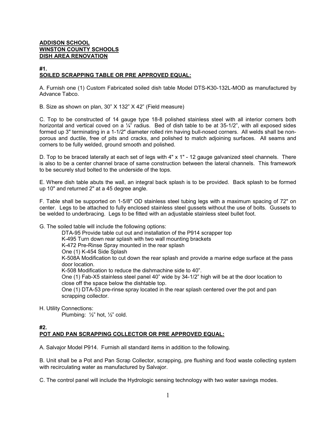#### **ADDISON SCHOOL WINSTON COUNTY SCHOOLS DISH AREA RENOVATION**

#### **#1. SOILED SCRAPPING TABLE OR PRE APPROVED EQUAL:**

A. Furnish one (1) Custom Fabricated soiled dish table Model DTS-K30-132L-MOD as manufactured by Advance Tabco.

B. Size as shown on plan, 30" X 132" X 42" (Field measure)

C. Top to be constructed of 14 gauge type 18-8 polished stainless steel with all interior corners both horizontal and vertical coved on a  $\frac{1}{4}$ " radius. Bed of dish table to be at 35-1/2", with all exposed sides formed up 3" terminating in a 1-1/2" diameter rolled rim having bull-nosed corners. All welds shall be nonporous and ductile, free of pits and cracks, and polished to match adjoining surfaces. All seams and corners to be fully welded, ground smooth and polished.

D. Top to be braced laterally at each set of legs with 4" x 1" - 12 gauge galvanized steel channels. There is also to be a center channel brace of same construction between the lateral channels. This framework to be securely stud bolted to the underside of the tops.

E. Where dish table abuts the wall, an integral back splash is to be provided. Back splash to be formed up 10" and returned 2" at a 45 degree angle.

F. Table shall be supported on 1-5/8" OD stainless steel tubing legs with a maximum spacing of 72" on center. Legs to be attached to fully enclosed stainless steel gussets without the use of bolts. Gussets to be welded to underbracing. Legs to be fitted with an adjustable stainless steel bullet foot.

G. The soiled table will include the following options:

DTA-95 Provide table cut out and installation of the P914 scrapper top K-495 Turn down rear splash with two wall mounting brackets K-472 Pre-Rinse Spray mounted in the rear splash One (1) K-454 Side Splash K-508A Modification to cut down the rear splash and provide a marine edge surface at the pass door location. K-508 Modification to reduce the dishmachine side to 40". One (1) Fab-X5 stainless steel panel 40" wide by 34-1/2" high will be at the door location to close off the space below the dishtable top. One (1) DTA-53 pre-rinse spray located in the rear splash centered over the pot and pan scrapping collector.

H. Utility Connections:

Plumbing: ½" hot, ½" cold.

#### **#2. POT AND PAN SCRAPPING COLLECTOR OR PRE APPROVED EQUAL:**

A. Salvajor Model P914. Furnish all standard items in addition to the following.

B. Unit shall be a Pot and Pan Scrap Collector, scrapping, pre flushing and food waste collecting system with recirculating water as manufactured by Salvajor.

C. The control panel will include the Hydrologic sensing technology with two water savings modes.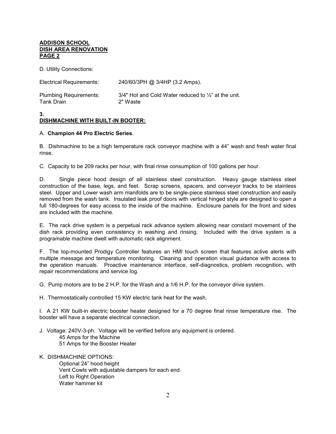#### **ADDISON SCHOOL DISH AREA RENOVATION PAGE 2**

D. Utility Connections:

| Electrical Requirements:      | 240/60/3PH @ 3/4HP (3.2 Amps).                                  |
|-------------------------------|-----------------------------------------------------------------|
| <b>Plumbing Requirements:</b> | 3/4" Hot and Cold Water reduced to $\frac{1}{2}$ " at the unit. |
| Tank Drain                    | 2" Waste                                                        |

#### **3. DISHMACHINE WITH BUILT-IN BOOTER:**

#### A. **Champion 44 Pro Electric Series**.

B. Dishmachine to be a high temperature rack conveyor machine with a 44" wash and fresh water final rinse.

C. Capacity to be 209 racks per hour, with final rinse consumption of 100 gallons per hour.

D. Single piece hood design of all stainless steel construction. Heavy gauge stainless steel construction of the base, legs, and feet. Scrap screens, spacers, and conveyor tracks to be stainless steel. Upper and Lower wash arm manifolds are to be single-piece stainless steel construction and easily removed from the wash tank. Insulated leak proof doors with vertical hinged style are designed to open a full 180-degrees for easy access to the inside of the machine. Enclosure panels for the front and sides are included with the machine.

E. The rack drive system is a perpetual rack advance system allowing near constant movement of the dish rack providing even consistency in washing and rinsing. Included with the drive system is a programable machine dwell with automatic rack alignment.

F. The top-mounted Prodigy Controller features an HMI touch screen that features active alerts with multiple message and temperature monitoring. Cleaning and operation visual guidance with access to the operation manuals. Proactive maintenance interface, self-diagnostics, problem recognition, with repair recommendations and service log.

G. Pump motors are to be 2 H.P. for the Wash and a 1/6 H.P. for the conveyor drive system.

H. Thermostatically controlled 15 KW electric tank heat for the wash.

I. A 21 KW built-in electric booster heater designed for a 70 degree final rinse temperature rise. The booster will have a separate electrical connection.

- J. Voltage: 240V-3-ph. Voltage will be verified before any equipment is ordered.
	- 45 Amps for the Machine
	- 51 Amps for the Booster Heater
- K. DISHMACHINE OPTIONS: Optional 24" hood height Vent Cowls with adjustable dampers for each end. Left to Right Operation Water hammer kit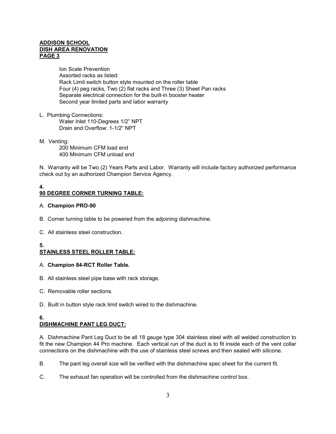#### **ADDISON SCHOOL DISH AREA RENOVATION PAGE 3**

Ion Scale Prevention Assorted racks as listed: Rack Limit switch button style mounted on the roller table Four (4) peg racks, Two (2) flat racks and Three (3) Sheet Pan racks Separate electrical connection for the built-in booster heater Second year limited parts and labor warranty

L. Plumbing Connections:

Water Inlet 110-Degrees 1/2" NPT Drain and Overflow: 1-1/2" NPT

M. Venting:

200 Minimum CFM load end 400 Minimum CFM unload end

N. Warranty will be Two (2) Years Parts and Labor. Warranty will include factory authorized performance check out by an authorized Champion Service Agency.

#### **4. 90 DEGREE CORNER TURNING TABLE:**

#### A. **Champion PRO-90**

- B. Corner turning table to be powered from the adjoining dishmachine.
- C. All stainless steel construction.

# **5.**

# **STAINLESS STEEL ROLLER TABLE:**

### A. **Champion 84-RCT Roller Table.**

- B. All stainless steel pipe base with rack storage.
- C. Removable roller sections.
- D. Built in button style rack limit switch wired to the dishmachine.

#### **6. DISHMACHINE PANT LEG DUCT:**

A. Dishmachine Pant Leg Duct to be all 18 gauge type 304 stainless steel with all welded construction to fit the new Champion 44 Pro machine. Each vertical run of the duct is to fit inside each of the vent collar connections on the dishmachine with the use of stainless steel screws and then sealed with silicone.

- B. The pant leg overall size will be verified with the dishmachine spec sheet for the current fit.
- C. The exhaust fan operation will be controlled from the dishmachine control box.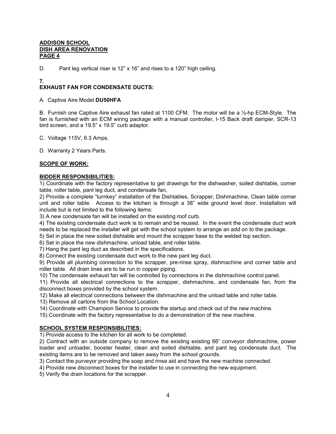#### **ADDISON SCHOOL DISH AREA RENOVATION PAGE 4**

D. Pant leg vertical riser is 12" x 16" and rises to a 120" high ceiling.

#### **7.**

# **EXHAUST FAN FOR CONDENSATE DUCTS:**

A. Captive Aire Model **DU50HFA**

B. Furnish one Captive Aire exhaust fan rated at 1100 CFM. The motor will be a ½-hp ECM-Style. The fan is furnished with an ECM wiring package with a manual controller, I-15 Back draft damper, SCR-13 bird screen, and a 19.5" x 19.5" curb adaptor.

C. Voltage 115V, 6.3 Amps.

D. Warranty 2 Years Parts.

#### **SCOPE OF WORK:**

#### **BIDDER RESPONSIBILITIES:**

1) Coordinate with the factory representative to get drawings for the dishwasher, soiled dishtable, corner table, roller table, pant leg duct, and condensate fan,

2) Provide a complete "turnkey" installation of the Dishtables, Scrapper, Dishmachine, Clean table corner unit and roller table. Access to the kitchen is through a 38" wide ground level door. Installation will include but is not limited to the following items:

3) A new condensate fan will be installed on the existing roof curb.

4) The existing condensate duct work is to remain and be reused. In the event the condensate duct work needs to be replaced the installer will get with the school system to arrange an add on to the package.

5) Set in place the new soiled dishtable and mount the scrapper base to the welded top section.

6) Set in place the new dishmachine, unload table, and roller table.

7) Hang the pant leg duct as described in the specifications.

8) Connect the existing condensate duct work to the new pant leg duct.

9) Provide all plumbing connection to the scrapper, pre-rinse spray, dishmachine and corner table and roller table. All drain lines are to be run in copper piping.

10) The condensate exhaust fan will be controlled by connections in the dishmachine control panel.

11) Provide all electrical connections to the scrapper, dishmachine, and condensate fan, from the disconnect boxes provided by the school system.

12) Make all electrical connections between the dishmachine and the unload table and roller table.

13) Remove all cartons from the School Location.

14) Coordinate with Champion Service to provide the startup and check out of the new machine.

15) Coordinate with the factory representative to do a demonstration of the new machine.

#### **SCHOOL SYSTEM RESPONSIBILITIES:**

1) Provide access to the kitchen for all work to be completed.

2) Contract with an outside company to remove the existing existing 66" conveyor dishmachine, power loader and unloader, booster heater, clean and soiled dishtable, and pant leg condensate duct. The existing items are to be removed and taken away from the school grounds.

3) Contact the purveyor providing the soap and rinse aid and have the new machine connected.

4) Provide new disconnect boxes for the installer to use in connecting the new equipment.

5) Verify the drain locations for the scrapper.